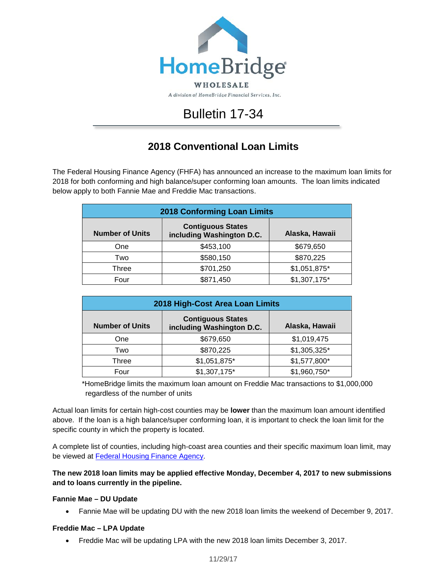

# Bulletin 17-34

# **2018 Conventional Loan Limits**

The Federal Housing Finance Agency (FHFA) has announced an increase to the maximum loan limits for 2018 for both conforming and high balance/super conforming loan amounts. The loan limits indicated below apply to both Fannie Mae and Freddie Mac transactions.

| <b>2018 Conforming Loan Limits</b> |                                                       |                |
|------------------------------------|-------------------------------------------------------|----------------|
| <b>Number of Units</b>             | <b>Contiguous States</b><br>including Washington D.C. | Alaska, Hawaii |
| One                                | \$453,100                                             | \$679,650      |
| Two                                | \$580,150                                             | \$870,225      |
| Three                              | \$701,250                                             | \$1,051,875*   |
| Four                               | \$871,450                                             | \$1,307,175*   |

| 2018 High-Cost Area Loan Limits |                                                       |                |  |
|---------------------------------|-------------------------------------------------------|----------------|--|
| <b>Number of Units</b>          | <b>Contiguous States</b><br>including Washington D.C. | Alaska, Hawaii |  |
| One                             | \$679,650                                             | \$1,019,475    |  |
| Two                             | \$870,225                                             | $$1,305,325$ * |  |
| Three                           | \$1,051,875*                                          | \$1,577,800*   |  |
| Four                            | \$1,307,175*                                          | \$1,960,750*   |  |

\*HomeBridge limits the maximum loan amount on Freddie Mac transactions to \$1,000,000 regardless of the number of units

Actual loan limits for certain high-cost counties may be **lower** than the maximum loan amount identified above. If the loan is a high balance/super conforming loan, it is important to check the loan limit for the specific county in which the property is located.

A complete list of counties, including high-coast area counties and their specific maximum loan limit, may be viewed at [Federal Housing Finance Agency.](https://www.fhfa.gov/DataTools/Downloads/Documents/Conforming-Loan-Limits/FullCountyLoanLimitList2018_HERA-BASED_FINAL_FLAT.PDF)

## **The new 2018 loan limits may be applied effective Monday, December 4, 2017 to new submissions and to loans currently in the pipeline.**

### **Fannie Mae – DU Update**

• Fannie Mae will be updating DU with the new 2018 loan limits the weekend of December 9, 2017.

### **Freddie Mac – LPA Update**

• Freddie Mac will be updating LPA with the new 2018 loan limits December 3, 2017.